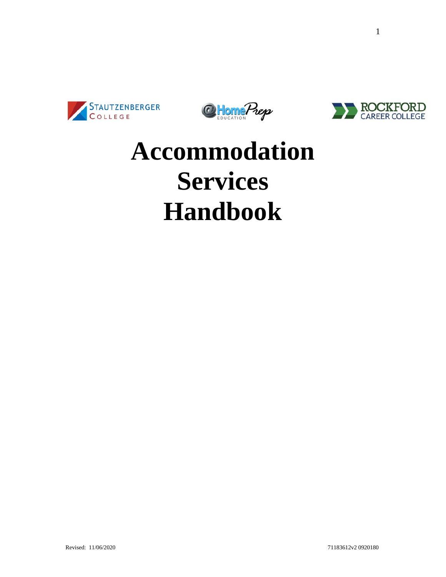





# **Accommodation Services Handbook**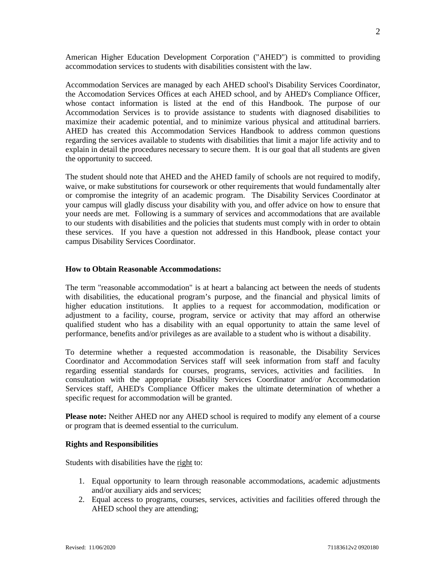American Higher Education Development Corporation ("AHED") is committed to providing accommodation services to students with disabilities consistent with the law.

Accommodation Services are managed by each AHED school's Disability Services Coordinator, the Accomodation Services Offices at each AHED school, and by AHED's Compliance Officer, whose contact information is listed at the end of this Handbook. The purpose of our Accommodation Services is to provide assistance to students with diagnosed disabilities to maximize their academic potential, and to minimize various physical and attitudinal barriers. AHED has created this Accommodation Services Handbook to address common questions regarding the services available to students with disabilities that limit a major life activity and to explain in detail the procedures necessary to secure them. It is our goal that all students are given the opportunity to succeed.

The student should note that AHED and the AHED family of schools are not required to modify, waive, or make substitutions for coursework or other requirements that would fundamentally alter or compromise the integrity of an academic program. The Disability Services Coordinator at your campus will gladly discuss your disability with you, and offer advice on how to ensure that your needs are met. Following is a summary of services and accommodations that are available to our students with disabilities and the policies that students must comply with in order to obtain these services. If you have a question not addressed in this Handbook, please contact your campus Disability Services Coordinator.

#### **How to Obtain Reasonable Accommodations:**

The term "reasonable accommodation" is at heart a balancing act between the needs of students with disabilities, the educational program's purpose, and the financial and physical limits of higher education institutions. It applies to a request for accommodation, modification or adjustment to a facility, course, program, service or activity that may afford an otherwise qualified student who has a disability with an equal opportunity to attain the same level of performance, benefits and/or privileges as are available to a student who is without a disability.

To determine whether a requested accommodation is reasonable, the Disability Services Coordinator and Accommodation Services staff will seek information from staff and faculty regarding essential standards for courses, programs, services, activities and facilities. In consultation with the appropriate Disability Services Coordinator and/or Accommodation Services staff, AHED's Compliance Officer makes the ultimate determination of whether a specific request for accommodation will be granted.

**Please note:** Neither AHED nor any AHED school is required to modify any element of a course or program that is deemed essential to the curriculum.

#### **Rights and Responsibilities**

Students with disabilities have the right to:

- 1. Equal opportunity to learn through reasonable accommodations, academic adjustments and/or auxiliary aids and services;
- 2. Equal access to programs, courses, services, activities and facilities offered through the AHED school they are attending;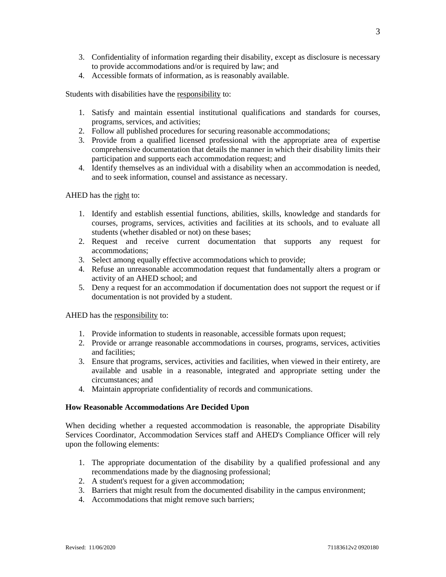- 3. Confidentiality of information regarding their disability, except as disclosure is necessary to provide accommodations and/or is required by law; and
- 4. Accessible formats of information, as is reasonably available.

Students with disabilities have the responsibility to:

- 1. Satisfy and maintain essential institutional qualifications and standards for courses, programs, services, and activities;
- 2. Follow all published procedures for securing reasonable accommodations;
- 3. Provide from a qualified licensed professional with the appropriate area of expertise comprehensive documentation that details the manner in which their disability limits their participation and supports each accommodation request; and
- 4. Identify themselves as an individual with a disability when an accommodation is needed, and to seek information, counsel and assistance as necessary.

AHED has the right to:

- 1. Identify and establish essential functions, abilities, skills, knowledge and standards for courses, programs, services, activities and facilities at its schools, and to evaluate all students (whether disabled or not) on these bases;
- 2. Request and receive current documentation that supports any request for accommodations;
- 3. Select among equally effective accommodations which to provide;
- 4. Refuse an unreasonable accommodation request that fundamentally alters a program or activity of an AHED school; and
- 5. Deny a request for an accommodation if documentation does not support the request or if documentation is not provided by a student.

AHED has the responsibility to:

- 1. Provide information to students in reasonable, accessible formats upon request;
- 2. Provide or arrange reasonable accommodations in courses, programs, services, activities and facilities;
- 3. Ensure that programs, services, activities and facilities, when viewed in their entirety, are available and usable in a reasonable, integrated and appropriate setting under the circumstances; and
- 4. Maintain appropriate confidentiality of records and communications.

#### **How Reasonable Accommodations Are Decided Upon**

When deciding whether a requested accommodation is reasonable, the appropriate Disability Services Coordinator, Accommodation Services staff and AHED's Compliance Officer will rely upon the following elements:

- 1. The appropriate documentation of the disability by a qualified professional and any recommendations made by the diagnosing professional;
- 2. A student's request for a given accommodation;
- 3. Barriers that might result from the documented disability in the campus environment;
- 4. Accommodations that might remove such barriers;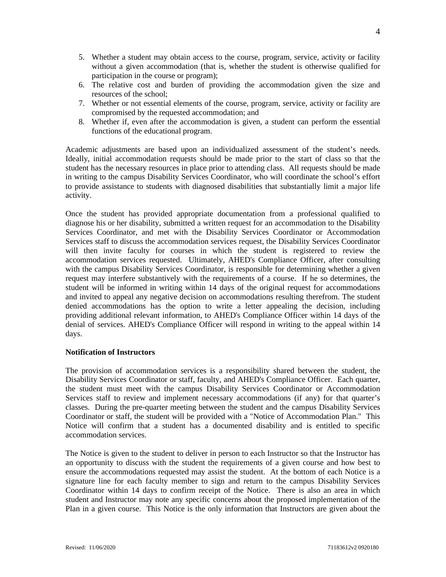- 5. Whether a student may obtain access to the course, program, service, activity or facility without a given accommodation (that is, whether the student is otherwise qualified for participation in the course or program);
- 6. The relative cost and burden of providing the accommodation given the size and resources of the school;
- 7. Whether or not essential elements of the course, program, service, activity or facility are compromised by the requested accommodation; and
- 8. Whether if, even after the accommodation is given, a student can perform the essential functions of the educational program.

Academic adjustments are based upon an individualized assessment of the student's needs. Ideally, initial accommodation requests should be made prior to the start of class so that the student has the necessary resources in place prior to attending class. All requests should be made in writing to the campus Disability Services Coordinator, who will coordinate the school's effort to provide assistance to students with diagnosed disabilities that substantially limit a major life activity.

Once the student has provided appropriate documentation from a professional qualified to diagnose his or her disability, submitted a written request for an accommodation to the Disability Services Coordinator, and met with the Disability Services Coordinator or Accommodation Services staff to discuss the accommodation services request, the Disability Services Coordinator will then invite faculty for courses in which the student is registered to review the accommodation services requested. Ultimately, AHED's Compliance Officer, after consulting with the campus Disability Services Coordinator, is responsible for determining whether a given request may interfere substantively with the requirements of a course. If he so determines, the student will be informed in writing within 14 days of the original request for accommodations and invited to appeal any negative decision on accommodations resulting therefrom. The student denied accommodations has the option to write a letter appealing the decision, including providing additional relevant information, to AHED's Compliance Officer within 14 days of the denial of services. AHED's Compliance Officer will respond in writing to the appeal within 14 days.

#### **Notification of Instructors**

The provision of accommodation services is a responsibility shared between the student, the Disability Services Coordinator or staff, faculty, and AHED's Compliance Officer. Each quarter, the student must meet with the campus Disability Services Coordinator or Accommodation Services staff to review and implement necessary accommodations (if any) for that quarter's classes. During the pre-quarter meeting between the student and the campus Disability Services Coordinator or staff, the student will be provided with a "Notice of Accommodation Plan." This Notice will confirm that a student has a documented disability and is entitled to specific accommodation services.

The Notice is given to the student to deliver in person to each Instructor so that the Instructor has an opportunity to discuss with the student the requirements of a given course and how best to ensure the accommodations requested may assist the student. At the bottom of each Notice is a signature line for each faculty member to sign and return to the campus Disability Services Coordinator within 14 days to confirm receipt of the Notice. There is also an area in which student and Instructor may note any specific concerns about the proposed implementation of the Plan in a given course. This Notice is the only information that Instructors are given about the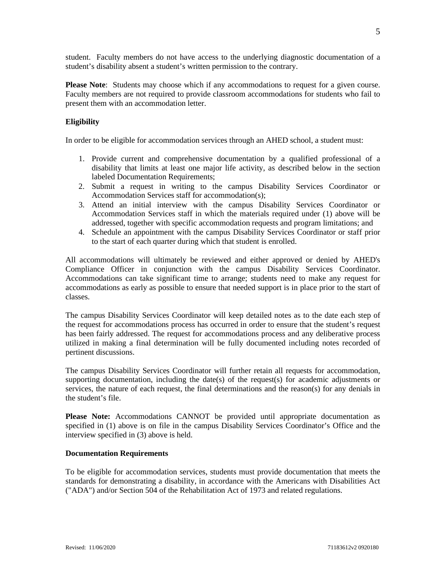student. Faculty members do not have access to the underlying diagnostic documentation of a student's disability absent a student's written permission to the contrary.

**Please Note**: Students may choose which if any accommodations to request for a given course. Faculty members are not required to provide classroom accommodations for students who fail to present them with an accommodation letter.

#### **Eligibility**

In order to be eligible for accommodation services through an AHED school, a student must:

- 1. Provide current and comprehensive documentation by a qualified professional of a disability that limits at least one major life activity, as described below in the section labeled Documentation Requirements;
- 2. Submit a request in writing to the campus Disability Services Coordinator or Accommodation Services staff for accommodation(s);
- 3. Attend an initial interview with the campus Disability Services Coordinator or Accommodation Services staff in which the materials required under (1) above will be addressed, together with specific accommodation requests and program limitations; and
- 4. Schedule an appointment with the campus Disability Services Coordinator or staff prior to the start of each quarter during which that student is enrolled.

All accommodations will ultimately be reviewed and either approved or denied by AHED's Compliance Officer in conjunction with the campus Disability Services Coordinator. Accommodations can take significant time to arrange; students need to make any request for accommodations as early as possible to ensure that needed support is in place prior to the start of classes.

The campus Disability Services Coordinator will keep detailed notes as to the date each step of the request for accommodations process has occurred in order to ensure that the student's request has been fairly addressed. The request for accommodations process and any deliberative process utilized in making a final determination will be fully documented including notes recorded of pertinent discussions.

The campus Disability Services Coordinator will further retain all requests for accommodation, supporting documentation, including the date(s) of the request(s) for academic adjustments or services, the nature of each request, the final determinations and the reason(s) for any denials in the student's file.

**Please Note:** Accommodations CANNOT be provided until appropriate documentation as specified in (1) above is on file in the campus Disability Services Coordinator's Office and the interview specified in (3) above is held.

#### **Documentation Requirements**

To be eligible for accommodation services, students must provide documentation that meets the standards for demonstrating a disability, in accordance with the Americans with Disabilities Act ("ADA") and/or Section 504 of the Rehabilitation Act of 1973 and related regulations.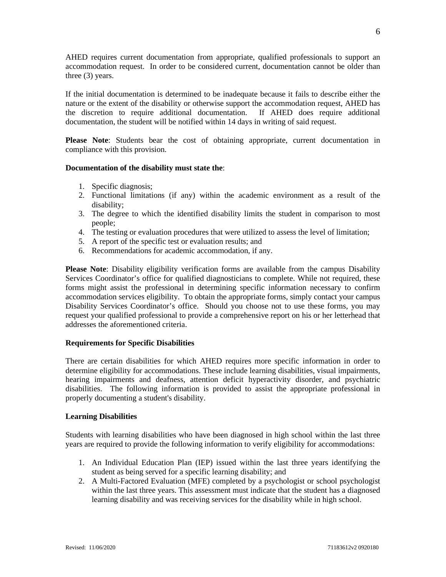AHED requires current documentation from appropriate, qualified professionals to support an accommodation request. In order to be considered current, documentation cannot be older than three (3) years.

If the initial documentation is determined to be inadequate because it fails to describe either the nature or the extent of the disability or otherwise support the accommodation request, AHED has the discretion to require additional documentation. If AHED does require additional documentation, the student will be notified within 14 days in writing of said request.

**Please Note**: Students bear the cost of obtaining appropriate, current documentation in compliance with this provision.

#### **Documentation of the disability must state the**:

- 1. Specific diagnosis;
- 2. Functional limitations (if any) within the academic environment as a result of the disability;
- 3. The degree to which the identified disability limits the student in comparison to most people;
- 4. The testing or evaluation procedures that were utilized to assess the level of limitation;
- 5. A report of the specific test or evaluation results; and
- 6. Recommendations for academic accommodation, if any.

**Please Note**: Disability eligibility verification forms are available from the campus Disability Services Coordinator's office for qualified diagnosticians to complete. While not required, these forms might assist the professional in determining specific information necessary to confirm accommodation services eligibility. To obtain the appropriate forms, simply contact your campus Disability Services Coordinator's office. Should you choose not to use these forms, you may request your qualified professional to provide a comprehensive report on his or her letterhead that addresses the aforementioned criteria.

#### **Requirements for Specific Disabilities**

There are certain disabilities for which AHED requires more specific information in order to determine eligibility for accommodations. These include learning disabilities, visual impairments, hearing impairments and deafness, attention deficit hyperactivity disorder, and psychiatric disabilities. The following information is provided to assist the appropriate professional in properly documenting a student's disability.

#### **Learning Disabilities**

Students with learning disabilities who have been diagnosed in high school within the last three years are required to provide the following information to verify eligibility for accommodations:

- 1. An Individual Education Plan (IEP) issued within the last three years identifying the student as being served for a specific learning disability; and
- 2. A Multi-Factored Evaluation (MFE) completed by a psychologist or school psychologist within the last three years. This assessment must indicate that the student has a diagnosed learning disability and was receiving services for the disability while in high school.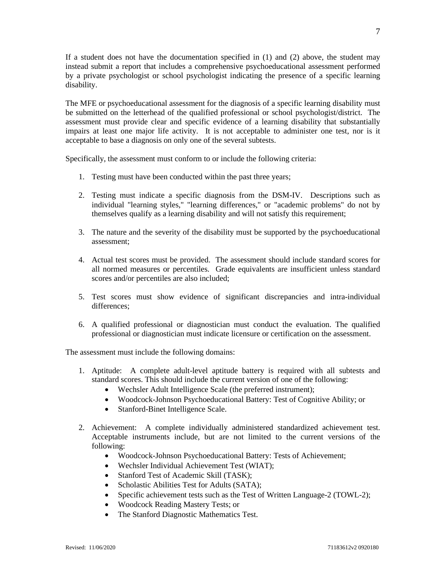If a student does not have the documentation specified in (1) and (2) above, the student may instead submit a report that includes a comprehensive psychoeducational assessment performed by a private psychologist or school psychologist indicating the presence of a specific learning disability.

The MFE or psychoeducational assessment for the diagnosis of a specific learning disability must be submitted on the letterhead of the qualified professional or school psychologist/district. The assessment must provide clear and specific evidence of a learning disability that substantially impairs at least one major life activity. It is not acceptable to administer one test, nor is it acceptable to base a diagnosis on only one of the several subtests.

Specifically, the assessment must conform to or include the following criteria:

- 1. Testing must have been conducted within the past three years;
- 2. Testing must indicate a specific diagnosis from the DSM-IV. Descriptions such as individual "learning styles," "learning differences," or "academic problems" do not by themselves qualify as a learning disability and will not satisfy this requirement;
- 3. The nature and the severity of the disability must be supported by the psychoeducational assessment;
- 4. Actual test scores must be provided. The assessment should include standard scores for all normed measures or percentiles. Grade equivalents are insufficient unless standard scores and/or percentiles are also included;
- 5. Test scores must show evidence of significant discrepancies and intra-individual differences;
- 6. A qualified professional or diagnostician must conduct the evaluation. The qualified professional or diagnostician must indicate licensure or certification on the assessment.

The assessment must include the following domains:

- 1. Aptitude: A complete adult-level aptitude battery is required with all subtests and standard scores. This should include the current version of one of the following:
	- Wechsler Adult Intelligence Scale (the preferred instrument);
	- Woodcock-Johnson Psychoeducational Battery: Test of Cognitive Ability; or
	- Stanford-Binet Intelligence Scale.
- 2. Achievement: A complete individually administered standardized achievement test. Acceptable instruments include, but are not limited to the current versions of the following:
	- Woodcock-Johnson Psychoeducational Battery: Tests of Achievement;
	- Wechsler Individual Achievement Test (WIAT);
	- Stanford Test of Academic Skill (TASK);
	- Scholastic Abilities Test for Adults (SATA);
	- Specific achievement tests such as the Test of Written Language-2 (TOWL-2);
	- Woodcock Reading Mastery Tests; or
	- The Stanford Diagnostic Mathematics Test.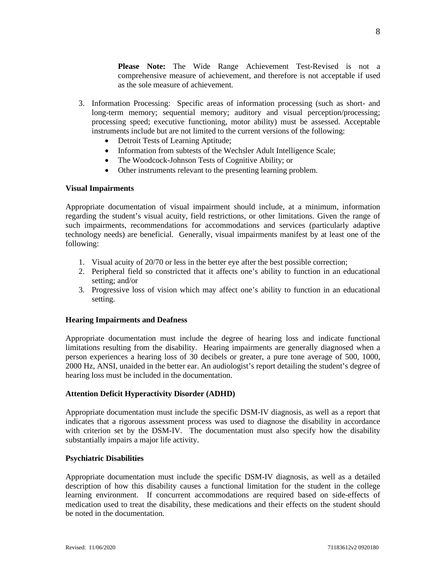**Please Note:** The Wide Range Achievement Test-Revised is not a comprehensive measure of achievement, and therefore is not acceptable if used as the sole measure of achievement.

- 3. Information Processing: Specific areas of information processing (such as short- and long-term memory; sequential memory; auditory and visual perception/processing; processing speed; executive functioning, motor ability) must be assessed. Acceptable instruments include but are not limited to the current versions of the following:
	- Detroit Tests of Learning Aptitude;
	- Information from subtests of the Wechsler Adult Intelligence Scale;
	- The Woodcock-Johnson Tests of Cognitive Ability; or
	- Other instruments relevant to the presenting learning problem.

### **Visual Impairments**

Appropriate documentation of visual impairment should include, at a minimum, information regarding the student's visual acuity, field restrictions, or other limitations. Given the range of such impairments, recommendations for accommodations and services (particularly adaptive technology needs) are beneficial. Generally, visual impairments manifest by at least one of the following:

- 1. Visual acuity of 20/70 or less in the better eye after the best possible correction;
- 2. Peripheral field so constricted that it affects one's ability to function in an educational setting; and/or
- 3. Progressive loss of vision which may affect one's ability to function in an educational setting.

## **Hearing Impairments and Deafness**

Appropriate documentation must include the degree of hearing loss and indicate functional limitations resulting from the disability. Hearing impairments are generally diagnosed when a person experiences a hearing loss of 30 decibels or greater, a pure tone average of 500, 1000, 2000 Hz, ANSI, unaided in the better ear. An audiologist's report detailing the student's degree of hearing loss must be included in the documentation.

#### **Attention Deficit Hyperactivity Disorder (ADHD)**

Appropriate documentation must include the specific DSM-IV diagnosis, as well as a report that indicates that a rigorous assessment process was used to diagnose the disability in accordance with criterion set by the DSM-IV. The documentation must also specify how the disability substantially impairs a major life activity.

#### **Psychiatric Disabilities**

Appropriate documentation must include the specific DSM-IV diagnosis, as well as a detailed description of how this disability causes a functional limitation for the student in the college learning environment. If concurrent accommodations are required based on side-effects of medication used to treat the disability, these medications and their effects on the student should be noted in the documentation.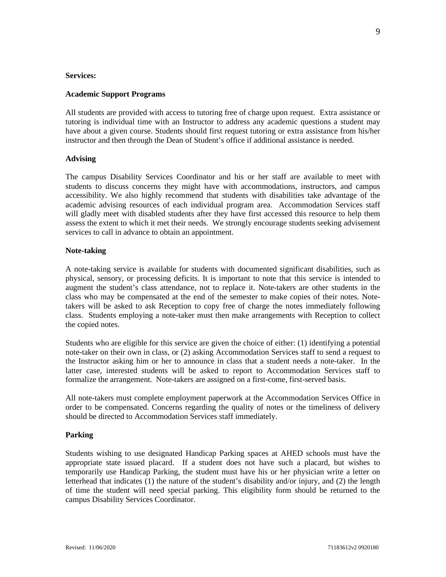#### **Services:**

#### **Academic Support Programs**

All students are provided with access to tutoring free of charge upon request. Extra assistance or tutoring is individual time with an Instructor to address any academic questions a student may have about a given course. Students should first request tutoring or extra assistance from his/her instructor and then through the Dean of Student's office if additional assistance is needed.

### **Advising**

The campus Disability Services Coordinator and his or her staff are available to meet with students to discuss concerns they might have with accommodations, instructors, and campus accessibility. We also highly recommend that students with disabilities take advantage of the academic advising resources of each individual program area. Accommodation Services staff will gladly meet with disabled students after they have first accessed this resource to help them assess the extent to which it met their needs. We strongly encourage students seeking advisement services to call in advance to obtain an appointment.

### **Note-taking**

A note-taking service is available for students with documented significant disabilities, such as physical, sensory, or processing deficits. It is important to note that this service is intended to augment the student's class attendance, not to replace it. Note-takers are other students in the class who may be compensated at the end of the semester to make copies of their notes. Notetakers will be asked to ask Reception to copy free of charge the notes immediately following class. Students employing a note-taker must then make arrangements with Reception to collect the copied notes.

Students who are eligible for this service are given the choice of either: (1) identifying a potential note-taker on their own in class, or (2) asking Accommodation Services staff to send a request to the Instructor asking him or her to announce in class that a student needs a note-taker. In the latter case, interested students will be asked to report to Accommodation Services staff to formalize the arrangement. Note-takers are assigned on a first-come, first-served basis.

All note-takers must complete employment paperwork at the Accommodation Services Office in order to be compensated. Concerns regarding the quality of notes or the timeliness of delivery should be directed to Accommodation Services staff immediately.

#### **Parking**

Students wishing to use designated Handicap Parking spaces at AHED schools must have the appropriate state issued placard. If a student does not have such a placard, but wishes to temporarily use Handicap Parking, the student must have his or her physician write a letter on letterhead that indicates (1) the nature of the student's disability and/or injury, and (2) the length of time the student will need special parking. This eligibility form should be returned to the campus Disability Services Coordinator.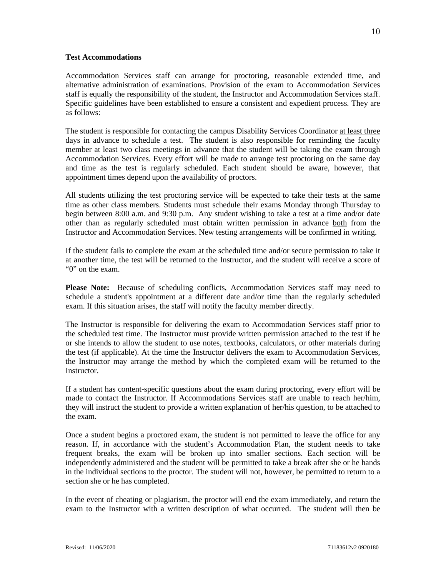#### **Test Accommodations**

Accommodation Services staff can arrange for proctoring, reasonable extended time, and alternative administration of examinations. Provision of the exam to Accommodation Services staff is equally the responsibility of the student, the Instructor and Accommodation Services staff. Specific guidelines have been established to ensure a consistent and expedient process. They are as follows:

The student is responsible for contacting the campus Disability Services Coordinator at least three days in advance to schedule a test. The student is also responsible for reminding the faculty member at least two class meetings in advance that the student will be taking the exam through Accommodation Services. Every effort will be made to arrange test proctoring on the same day and time as the test is regularly scheduled. Each student should be aware, however, that appointment times depend upon the availability of proctors.

All students utilizing the test proctoring service will be expected to take their tests at the same time as other class members. Students must schedule their exams Monday through Thursday to begin between 8:00 a.m. and 9:30 p.m. Any student wishing to take a test at a time and/or date other than as regularly scheduled must obtain written permission in advance both from the Instructor and Accommodation Services. New testing arrangements will be confirmed in writing.

If the student fails to complete the exam at the scheduled time and/or secure permission to take it at another time, the test will be returned to the Instructor, and the student will receive a score of "0" on the exam.

**Please Note:** Because of scheduling conflicts, Accommodation Services staff may need to schedule a student's appointment at a different date and/or time than the regularly scheduled exam. If this situation arises, the staff will notify the faculty member directly.

The Instructor is responsible for delivering the exam to Accommodation Services staff prior to the scheduled test time. The Instructor must provide written permission attached to the test if he or she intends to allow the student to use notes, textbooks, calculators, or other materials during the test (if applicable). At the time the Instructor delivers the exam to Accommodation Services, the Instructor may arrange the method by which the completed exam will be returned to the Instructor.

If a student has content-specific questions about the exam during proctoring, every effort will be made to contact the Instructor. If Accommodations Services staff are unable to reach her/him, they will instruct the student to provide a written explanation of her/his question, to be attached to the exam.

Once a student begins a proctored exam, the student is not permitted to leave the office for any reason. If, in accordance with the student's Accommodation Plan, the student needs to take frequent breaks, the exam will be broken up into smaller sections. Each section will be independently administered and the student will be permitted to take a break after she or he hands in the individual sections to the proctor. The student will not, however, be permitted to return to a section she or he has completed.

In the event of cheating or plagiarism, the proctor will end the exam immediately, and return the exam to the Instructor with a written description of what occurred. The student will then be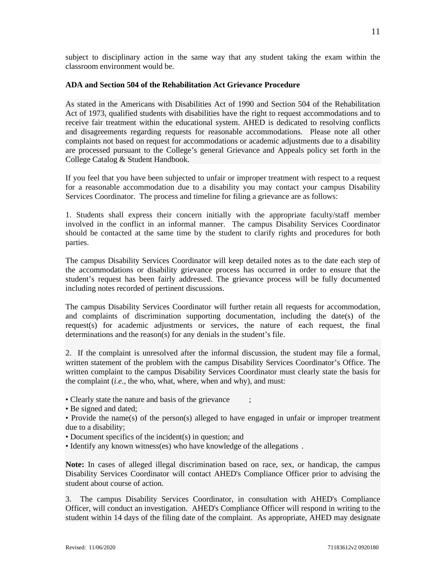subject to disciplinary action in the same way that any student taking the exam within the classroom environment would be.

### **ADA and Section 504 of the Rehabilitation Act Grievance Procedure**

As stated in the Americans with Disabilities Act of 1990 and Section 504 of the Rehabilitation Act of 1973, qualified students with disabilities have the right to request accommodations and to receive fair treatment within the educational system. AHED is dedicated to resolving conflicts and disagreements regarding requests for reasonable accommodations. Please note all other complaints not based on request for accommodations or academic adjustments due to a disability are processed pursuant to the College's general Grievance and Appeals policy set forth in the College Catalog & Student Handbook.

If you feel that you have been subjected to unfair or improper treatment with respect to a request for a reasonable accommodation due to a disability you may contact your campus Disability Services Coordinator. The process and timeline for filing a grievance are as follows:

1. Students shall express their concern initially with the appropriate faculty/staff member involved in the conflict in an informal manner. The campus Disability Services Coordinator should be contacted at the same time by the student to clarify rights and procedures for both parties.

The campus Disability Services Coordinator will keep detailed notes as to the date each step of the accommodations or disability grievance process has occurred in order to ensure that the student's request has been fairly addressed. The grievance process will be fully documented including notes recorded of pertinent discussions.

The campus Disability Services Coordinator will further retain all requests for accommodation, and complaints of discrimination supporting documentation, including the date(s) of the request(s) for academic adjustments or services, the nature of each request, the final determinations and the reason(s) for any denials in the student's file.

2. If the complaint is unresolved after the informal discussion, the student may file a formal, written statement of the problem with the campus Disability Services Coordinator's Office. The written complaint to the campus Disability Services Coordinator must clearly state the basis for the complaint (*i.e.*, the who, what, where, when and why), and must:

- Clearly state the nature and basis of the grievance
- Be signed and dated;

• Provide the name(s) of the person(s) alleged to have engaged in unfair or improper treatment due to a disability;

- Document specifics of the incident(s) in question; and
- Identify any known witness(es) who have knowledge of the allegations .

**Note:** In cases of alleged illegal discrimination based on race, sex, or handicap, the campus Disability Services Coordinator will contact AHED's Compliance Officer prior to advising the student about course of action.

3. The campus Disability Services Coordinator, in consultation with AHED's Compliance Officer, will conduct an investigation. AHED's Compliance Officer will respond in writing to the student within 14 days of the filing date of the complaint. As appropriate, AHED may designate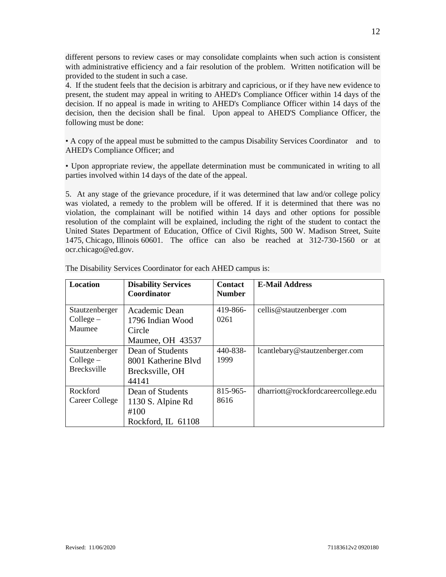different persons to review cases or may consolidate complaints when such action is consistent with administrative efficiency and a fair resolution of the problem. Written notification will be provided to the student in such a case.

4. If the student feels that the decision is arbitrary and capricious, or if they have new evidence to present, the student may appeal in writing to AHED's Compliance Officer within 14 days of the decision. If no appeal is made in writing to AHED's Compliance Officer within 14 days of the decision, then the decision shall be final. Upon appeal to AHED'S Compliance Officer, the following must be done:

• A copy of the appeal must be submitted to the campus Disability Services Coordinator and to AHED's Compliance Officer; and

• Upon appropriate review, the appellate determination must be communicated in writing to all parties involved within 14 days of the date of the appeal.

5. At any stage of the grievance procedure, if it was determined that law and/or college policy was violated, a remedy to the problem will be offered. If it is determined that there was no violation, the complainant will be notified within 14 days and other options for possible resolution of the complaint will be explained, including the right of the student to contact the United States Department of Education, Office of Civil Rights, 500 W. Madison Street, Suite 1475, Chicago, Illinois 60601. The office can also be reached at 312-730-1560 or at ocr.chicago@ed.gov.

| <b>Location</b>                                   | <b>Disability Services</b><br>Coordinator                           | <b>Contact</b><br><b>Number</b> | <b>E-Mail Address</b>               |
|---------------------------------------------------|---------------------------------------------------------------------|---------------------------------|-------------------------------------|
| Stautzenberger<br>Collect –<br>Maumee             | Academic Dean<br>1796 Indian Wood<br>Circle<br>Maumee, OH 43537     | 419-866-<br>0261                | cellis@stautzenberger.com           |
| Stautzenberger<br>Collect –<br><b>Brecksville</b> | Dean of Students<br>8001 Katherine Blyd<br>Brecksville, OH<br>44141 | 440-838-<br>1999                | lcantlebary@stautzenberger.com      |
| Rockford<br>Career College                        | Dean of Students<br>1130 S. Alpine Rd<br>#100<br>Rockford, IL 61108 | 815-965-<br>8616                | dharriott@rockfordcareercollege.edu |

The Disability Services Coordinator for each AHED campus is: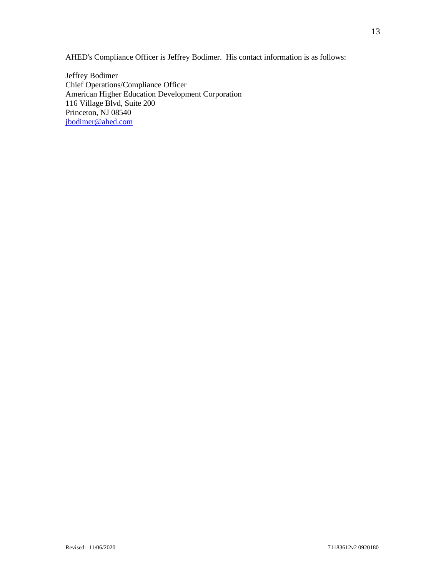AHED's Compliance Officer is Jeffrey Bodimer. His contact information is as follows:

Jeffrey Bodimer Chief Operations/Compliance Officer American Higher Education Development Corporation 116 Village Blvd, Suite 200 Princeton, NJ 08540 [jbodimer@ahed.com](mailto:jbodimer@ahed.com)